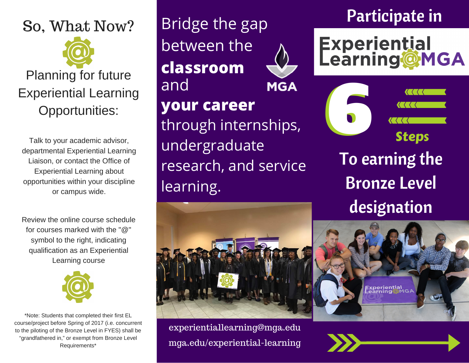## So, What Now?

# Planning for future Experiential Learning Opportunities:

Talk to your academic advisor, departmental Experiential Learning Liaison, or contact the Office of Experiential Learning about opportunities within your discipline or campus wide.

Review the online course schedule for courses marked with the "@" symbol to the right, indicating qualification as an Experiential Learning course



\*Note: Students that completed their first EL course/project before Spring of 2017 (i.e. concurrent to the piloting of the Bronze Level in FYES) shall be "grandfathered in," or exempt from Bronze Level Requirements\*

Bridge the gap between the **classroom** and **MGA your career** through internships, undergraduate research, and service learning.

## Participate in

**Experiential<br>Learning@MGA** 

**6 Steps** To earning the Bronze Level designation



experientiallearning@mga.edu mga.edu/experiential-learning